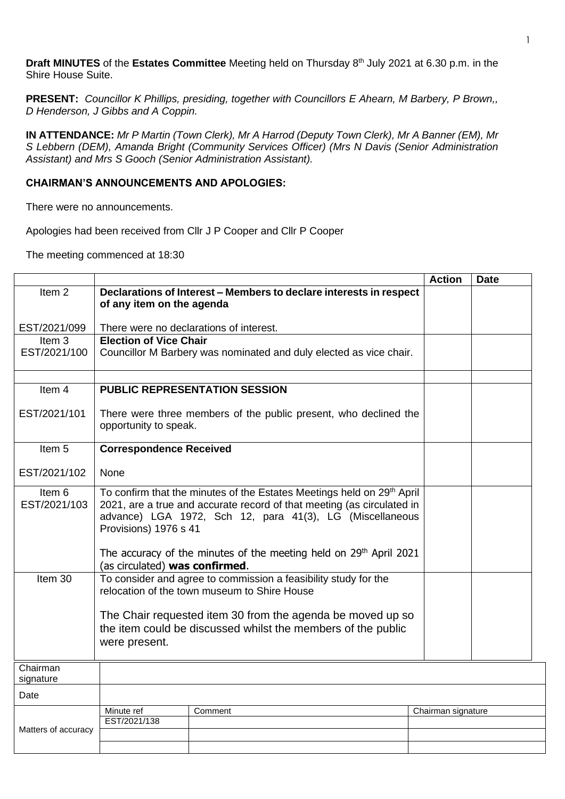**Draft MINUTES** of the **Estates Committee** Meeting held on Thursday 8 th July 2021 at 6.30 p.m. in the Shire House Suite.

**PRESENT:** *Councillor K Phillips, presiding, together with Councillors E Ahearn, M Barbery, P Brown,, D Henderson, J Gibbs and A Coppin.*

**IN ATTENDANCE:** *Mr P Martin (Town Clerk), Mr A Harrod (Deputy Town Clerk), Mr A Banner (EM), Mr S Lebbern (DEM), Amanda Bright (Community Services Officer) (Mrs N Davis (Senior Administration Assistant) and Mrs S Gooch (Senior Administration Assistant).*

## **CHAIRMAN'S ANNOUNCEMENTS AND APOLOGIES:**

There were no announcements.

Apologies had been received from Cllr J P Cooper and Cllr P Cooper

The meeting commenced at 18:30

|                        |                                                                                                                                                                                                                                                   |                                                                                                                  | <b>Action</b>      | <b>Date</b> |
|------------------------|---------------------------------------------------------------------------------------------------------------------------------------------------------------------------------------------------------------------------------------------------|------------------------------------------------------------------------------------------------------------------|--------------------|-------------|
| Item <sub>2</sub>      | of any item on the agenda                                                                                                                                                                                                                         | Declarations of Interest - Members to declare interests in respect                                               |                    |             |
| EST/2021/099           |                                                                                                                                                                                                                                                   | There were no declarations of interest.                                                                          |                    |             |
| Item 3                 | <b>Election of Vice Chair</b>                                                                                                                                                                                                                     |                                                                                                                  |                    |             |
| EST/2021/100           |                                                                                                                                                                                                                                                   | Councillor M Barbery was nominated and duly elected as vice chair.                                               |                    |             |
| Item 4                 |                                                                                                                                                                                                                                                   | <b>PUBLIC REPRESENTATION SESSION</b>                                                                             |                    |             |
| EST/2021/101           | opportunity to speak.                                                                                                                                                                                                                             | There were three members of the public present, who declined the                                                 |                    |             |
| Item 5                 | <b>Correspondence Received</b>                                                                                                                                                                                                                    |                                                                                                                  |                    |             |
| EST/2021/102           | None                                                                                                                                                                                                                                              |                                                                                                                  |                    |             |
| Item 6<br>EST/2021/103 | To confirm that the minutes of the Estates Meetings held on 29 <sup>th</sup> April<br>2021, are a true and accurate record of that meeting (as circulated in<br>advance) LGA 1972, Sch 12, para 41(3), LG (Miscellaneous<br>Provisions) 1976 s 41 |                                                                                                                  |                    |             |
|                        |                                                                                                                                                                                                                                                   | The accuracy of the minutes of the meeting held on 29 <sup>th</sup> April 2021<br>(as circulated) was confirmed. |                    |             |
| Item 30                | To consider and agree to commission a feasibility study for the<br>relocation of the town museum to Shire House<br>The Chair requested item 30 from the agenda be moved up so<br>the item could be discussed whilst the members of the public     |                                                                                                                  |                    |             |
|                        | were present.                                                                                                                                                                                                                                     |                                                                                                                  |                    |             |
| Chairman<br>signature  |                                                                                                                                                                                                                                                   |                                                                                                                  |                    |             |
| Date                   |                                                                                                                                                                                                                                                   |                                                                                                                  |                    |             |
|                        | Minute ref                                                                                                                                                                                                                                        | Comment                                                                                                          | Chairman signature |             |
| Matters of accuracy    | EST/2021/138                                                                                                                                                                                                                                      |                                                                                                                  |                    |             |
|                        |                                                                                                                                                                                                                                                   |                                                                                                                  |                    |             |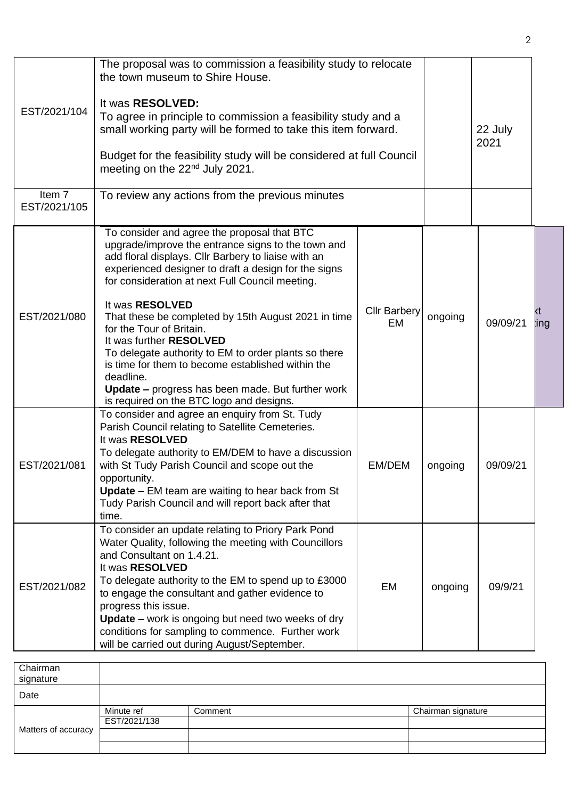| EST/2021/104           | The proposal was to commission a feasibility study to relocate<br>the town museum to Shire House.<br>It was RESOLVED:<br>To agree in principle to commission a feasibility study and a<br>small working party will be formed to take this item forward.                                                                                                                                                                                                                                                                                                                                    |                           | 22 July |          |     |
|------------------------|--------------------------------------------------------------------------------------------------------------------------------------------------------------------------------------------------------------------------------------------------------------------------------------------------------------------------------------------------------------------------------------------------------------------------------------------------------------------------------------------------------------------------------------------------------------------------------------------|---------------------------|---------|----------|-----|
|                        | Budget for the feasibility study will be considered at full Council<br>meeting on the 22 <sup>nd</sup> July 2021.                                                                                                                                                                                                                                                                                                                                                                                                                                                                          |                           |         | 2021     |     |
| Item 7<br>EST/2021/105 | To review any actions from the previous minutes                                                                                                                                                                                                                                                                                                                                                                                                                                                                                                                                            |                           |         |          |     |
| EST/2021/080           | To consider and agree the proposal that BTC<br>upgrade/improve the entrance signs to the town and<br>add floral displays. Cllr Barbery to liaise with an<br>experienced designer to draft a design for the signs<br>for consideration at next Full Council meeting.<br>It was RESOLVED<br>That these be completed by 15th August 2021 in time<br>for the Tour of Britain.<br>It was further RESOLVED<br>To delegate authority to EM to order plants so there<br>is time for them to become established within the<br>deadline.<br><b>Update</b> – progress has been made. But further work | <b>Cllr Barbery</b><br>EM | ongoing | 09/09/21 | ing |
| EST/2021/081           | is required on the BTC logo and designs.<br>To consider and agree an enquiry from St. Tudy<br>Parish Council relating to Satellite Cemeteries.<br>It was RESOLVED<br>To delegate authority to EM/DEM to have a discussion<br>with St Tudy Parish Council and scope out the<br>opportunity.<br><b>Update – EM team are waiting to hear back from St</b><br>Tudy Parish Council and will report back after that<br>time.                                                                                                                                                                     | EM/DEM                    | ongoing | 09/09/21 |     |
| EST/2021/082           | To consider an update relating to Priory Park Pond<br>Water Quality, following the meeting with Councillors<br>and Consultant on 1.4.21.<br>It was RESOLVED<br>To delegate authority to the EM to spend up to £3000<br>to engage the consultant and gather evidence to<br>progress this issue.<br><b>Update - work is ongoing but need two weeks of dry</b><br>conditions for sampling to commence. Further work<br>will be carried out during August/September.                                                                                                                           | <b>EM</b>                 | ongoing | 09/9/21  |     |

| Chairman<br>signature |              |         |                    |
|-----------------------|--------------|---------|--------------------|
| Date                  |              |         |                    |
|                       | Minute ref   | Comment | Chairman signature |
|                       | EST/2021/138 |         |                    |
| Matters of accuracy   |              |         |                    |
|                       |              |         |                    |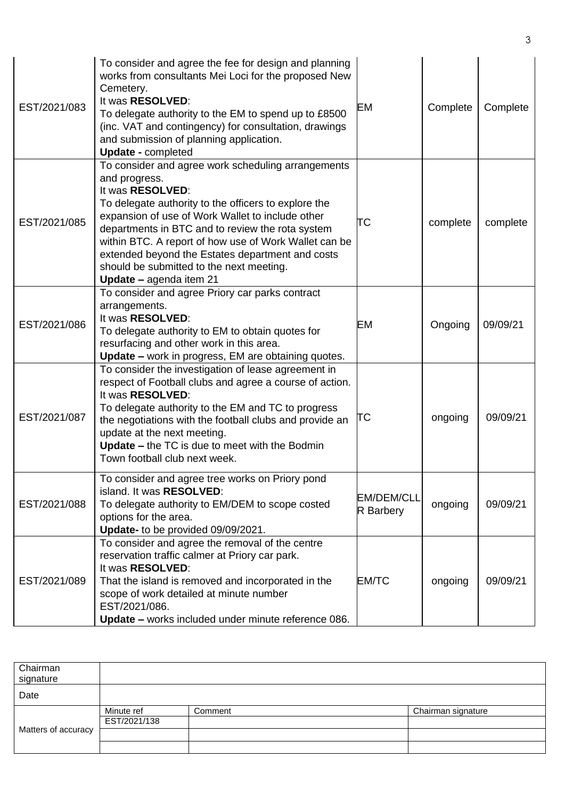| EST/2021/083 | To consider and agree the fee for design and planning<br>works from consultants Mei Loci for the proposed New<br>Cemetery.<br>It was RESOLVED:<br>To delegate authority to the EM to spend up to £8500<br>(inc. VAT and contingency) for consultation, drawings<br>and submission of planning application.<br><b>Update - completed</b>                                                                                                     | EМ                                    | Complete | Complete |
|--------------|---------------------------------------------------------------------------------------------------------------------------------------------------------------------------------------------------------------------------------------------------------------------------------------------------------------------------------------------------------------------------------------------------------------------------------------------|---------------------------------------|----------|----------|
| EST/2021/085 | To consider and agree work scheduling arrangements<br>and progress.<br>It was RESOLVED:<br>To delegate authority to the officers to explore the<br>expansion of use of Work Wallet to include other<br>departments in BTC and to review the rota system<br>within BTC. A report of how use of Work Wallet can be<br>extended beyond the Estates department and costs<br>should be submitted to the next meeting.<br>Update - agenda item 21 | ТC                                    | complete | complete |
| EST/2021/086 | To consider and agree Priory car parks contract<br>arrangements.<br>It was RESOLVED:<br>To delegate authority to EM to obtain quotes for<br>resurfacing and other work in this area.<br>Update - work in progress, EM are obtaining quotes.                                                                                                                                                                                                 | EM                                    | Ongoing  | 09/09/21 |
| EST/2021/087 | To consider the investigation of lease agreement in<br>respect of Football clubs and agree a course of action.<br>It was RESOLVED:<br>To delegate authority to the EM and TC to progress<br>the negotiations with the football clubs and provide an<br>update at the next meeting.<br>Update - the TC is due to meet with the Bodmin<br>Town football club next week.                                                                       | TС                                    | ongoing  | 09/09/21 |
| EST/2021/088 | To consider and agree tree works on Priory pond<br>island. It was RESOLVED:<br>To delegate authority to EM/DEM to scope costed<br>options for the area.<br>Update- to be provided 09/09/2021.                                                                                                                                                                                                                                               | <b>EM/DEM/CLL</b><br><b>R</b> Barbery | ongoing  | 09/09/21 |
| EST/2021/089 | To consider and agree the removal of the centre<br>reservation traffic calmer at Priory car park.<br>It was RESOLVED:<br>That the island is removed and incorporated in the<br>scope of work detailed at minute number<br>EST/2021/086.<br>Update - works included under minute reference 086.                                                                                                                                              | <b>EM/TC</b>                          | ongoing  | 09/09/21 |

| Chairman<br>signature |              |         |                    |
|-----------------------|--------------|---------|--------------------|
| Date                  |              |         |                    |
| Matters of accuracy   | Minute ref   | Comment | Chairman signature |
|                       | EST/2021/138 |         |                    |
|                       |              |         |                    |
|                       |              |         |                    |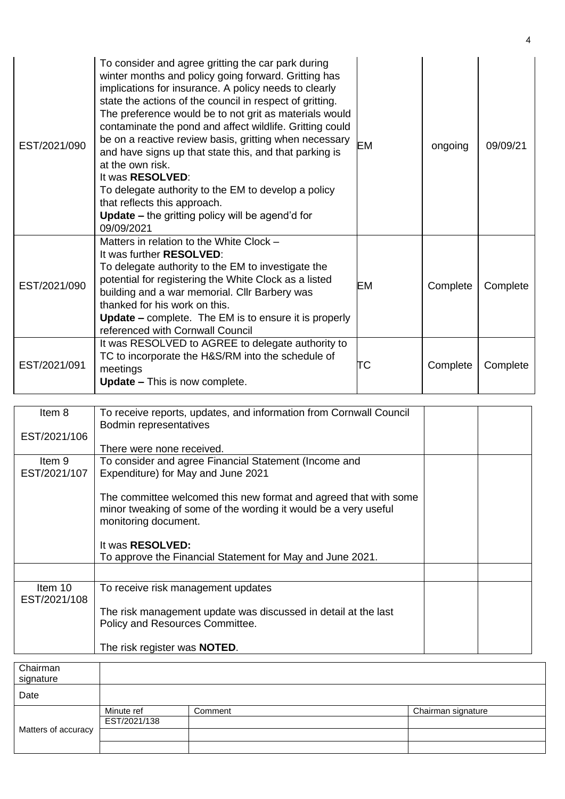| EST/2021/090 | To consider and agree gritting the car park during<br>winter months and policy going forward. Gritting has<br>implications for insurance. A policy needs to clearly<br>state the actions of the council in respect of gritting.<br>The preference would be to not grit as materials would<br>contaminate the pond and affect wildlife. Gritting could<br>be on a reactive review basis, gritting when necessary<br>and have signs up that state this, and that parking is<br>at the own risk.<br>It was <b>RESOLVED</b> :<br>To delegate authority to the EM to develop a policy<br>that reflects this approach.<br><b>Update – the gritting policy will be agend'd for</b><br>09/09/2021 | <b>EM</b> | ongoing  | 09/09/21 |
|--------------|-------------------------------------------------------------------------------------------------------------------------------------------------------------------------------------------------------------------------------------------------------------------------------------------------------------------------------------------------------------------------------------------------------------------------------------------------------------------------------------------------------------------------------------------------------------------------------------------------------------------------------------------------------------------------------------------|-----------|----------|----------|
| EST/2021/090 | Matters in relation to the White Clock -<br>It was further <b>RESOLVED</b> :<br>To delegate authority to the EM to investigate the<br>potential for registering the White Clock as a listed<br>building and a war memorial. Cllr Barbery was<br>thanked for his work on this.<br><b>Update</b> – complete. The EM is to ensure it is properly<br>referenced with Cornwall Council                                                                                                                                                                                                                                                                                                         | EM        | Complete | Complete |
| EST/2021/091 | It was RESOLVED to AGREE to delegate authority to<br>TC to incorporate the H&S/RM into the schedule of<br>meetings<br><b>Update – This is now complete.</b>                                                                                                                                                                                                                                                                                                                                                                                                                                                                                                                               | TС        | Complete | Complete |

| Item 8       | To receive reports, updates, and information from Cornwall Council |  |
|--------------|--------------------------------------------------------------------|--|
|              | Bodmin representatives                                             |  |
| EST/2021/106 |                                                                    |  |
|              | There were none received.                                          |  |
| Item 9       | To consider and agree Financial Statement (Income and              |  |
| EST/2021/107 | Expenditure) for May and June 2021                                 |  |
|              |                                                                    |  |
|              | The committee welcomed this new format and agreed that with some   |  |
|              | minor tweaking of some of the wording it would be a very useful    |  |
|              | monitoring document.                                               |  |
|              |                                                                    |  |
|              | It was RESOLVED:                                                   |  |
|              | To approve the Financial Statement for May and June 2021.          |  |
|              |                                                                    |  |
| Item 10      | To receive risk management updates                                 |  |
| EST/2021/108 |                                                                    |  |
|              | The risk management update was discussed in detail at the last     |  |
|              | Policy and Resources Committee.                                    |  |
|              |                                                                    |  |
|              | The risk register was NOTED.                                       |  |

| Chairman<br>signature |              |         |                    |
|-----------------------|--------------|---------|--------------------|
| Date                  |              |         |                    |
|                       | Minute ref   | Comment | Chairman signature |
|                       | EST/2021/138 |         |                    |
| Matters of accuracy   |              |         |                    |
|                       |              |         |                    |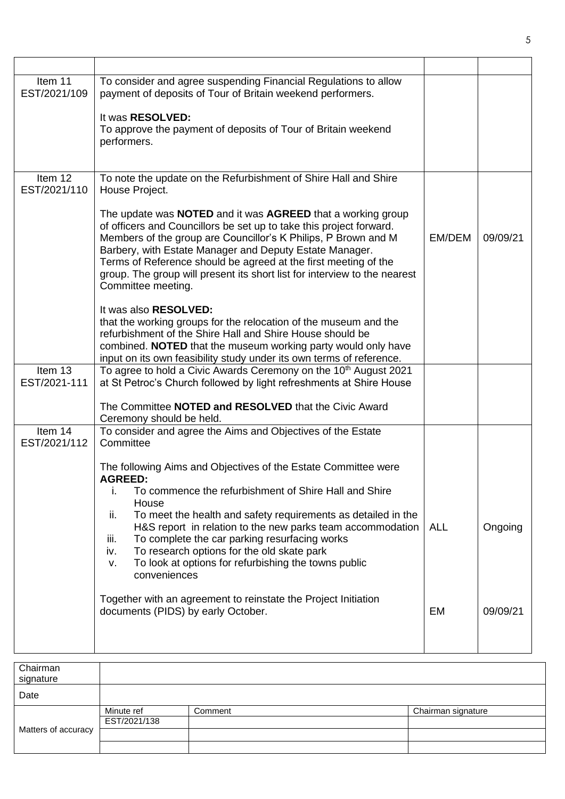| Item 11<br>EST/2021/109 | To consider and agree suspending Financial Regulations to allow<br>payment of deposits of Tour of Britain weekend performers.<br>It was RESOLVED:<br>To approve the payment of deposits of Tour of Britain weekend<br>performers.                                                                                                                                                                                                                                                                                                                                      |            |          |
|-------------------------|------------------------------------------------------------------------------------------------------------------------------------------------------------------------------------------------------------------------------------------------------------------------------------------------------------------------------------------------------------------------------------------------------------------------------------------------------------------------------------------------------------------------------------------------------------------------|------------|----------|
| Item 12<br>EST/2021/110 | To note the update on the Refurbishment of Shire Hall and Shire<br>House Project.<br>The update was NOTED and it was AGREED that a working group<br>of officers and Councillors be set up to take this project forward.<br>Members of the group are Councillor's K Philips, P Brown and M<br>Barbery, with Estate Manager and Deputy Estate Manager.<br>Terms of Reference should be agreed at the first meeting of the<br>group. The group will present its short list for interview to the nearest<br>Committee meeting.                                             | EM/DEM     | 09/09/21 |
|                         | It was also <b>RESOLVED:</b><br>that the working groups for the relocation of the museum and the<br>refurbishment of the Shire Hall and Shire House should be<br>combined. NOTED that the museum working party would only have<br>input on its own feasibility study under its own terms of reference.                                                                                                                                                                                                                                                                 |            |          |
| Item 13<br>EST/2021-111 | To agree to hold a Civic Awards Ceremony on the 10 <sup>th</sup> August 2021<br>at St Petroc's Church followed by light refreshments at Shire House<br>The Committee NOTED and RESOLVED that the Civic Award<br>Ceremony should be held.                                                                                                                                                                                                                                                                                                                               |            |          |
| Item 14<br>EST/2021/112 | To consider and agree the Aims and Objectives of the Estate<br>Committee<br>The following Aims and Objectives of the Estate Committee were<br><b>AGREED:</b><br>To commence the refurbishment of Shire Hall and Shire<br>i.<br>House<br>To meet the health and safety requirements as detailed in the<br>ii.<br>H&S report in relation to the new parks team accommodation<br>To complete the car parking resurfacing works<br>iii.<br>To research options for the old skate park<br>iv.<br>To look at options for refurbishing the towns public<br>v.<br>conveniences | <b>ALL</b> | Ongoing  |
|                         | Together with an agreement to reinstate the Project Initiation<br>documents (PIDS) by early October.                                                                                                                                                                                                                                                                                                                                                                                                                                                                   | EM         | 09/09/21 |

| Chairman            |              |         |                    |
|---------------------|--------------|---------|--------------------|
| signature           |              |         |                    |
| Date                |              |         |                    |
| Matters of accuracy | Minute ref   | Comment | Chairman signature |
|                     | EST/2021/138 |         |                    |
|                     |              |         |                    |
|                     |              |         |                    |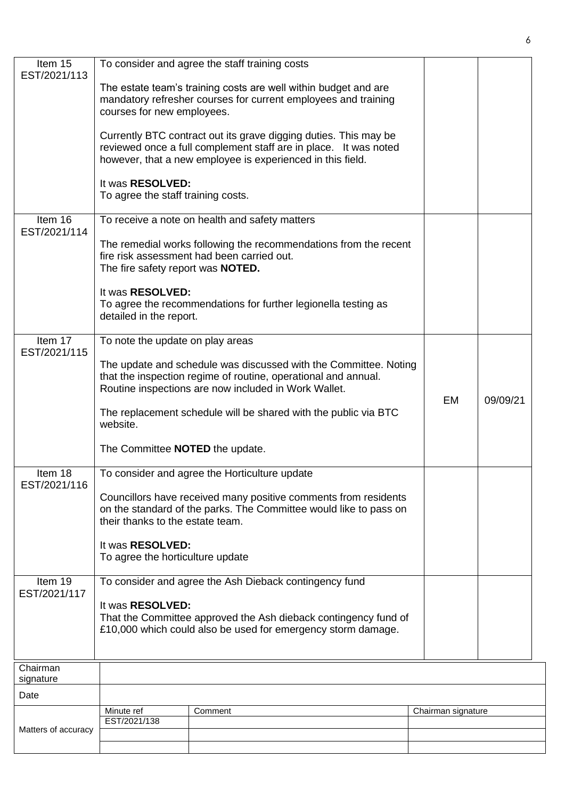| Item 15<br>EST/2021/113 |                                                        | To consider and agree the staff training costs                                                                                                                                                     |                    |          |
|-------------------------|--------------------------------------------------------|----------------------------------------------------------------------------------------------------------------------------------------------------------------------------------------------------|--------------------|----------|
|                         | courses for new employees.                             | The estate team's training costs are well within budget and are<br>mandatory refresher courses for current employees and training                                                                  |                    |          |
|                         |                                                        | Currently BTC contract out its grave digging duties. This may be<br>reviewed once a full complement staff are in place. It was noted<br>however, that a new employee is experienced in this field. |                    |          |
|                         | It was RESOLVED:<br>To agree the staff training costs. |                                                                                                                                                                                                    |                    |          |
| Item 16<br>EST/2021/114 |                                                        | To receive a note on health and safety matters                                                                                                                                                     |                    |          |
|                         | The fire safety report was <b>NOTED.</b>               | The remedial works following the recommendations from the recent<br>fire risk assessment had been carried out.                                                                                     |                    |          |
|                         | It was RESOLVED:<br>detailed in the report.            | To agree the recommendations for further legionella testing as                                                                                                                                     |                    |          |
| Item 17<br>EST/2021/115 | To note the update on play areas                       |                                                                                                                                                                                                    |                    |          |
|                         |                                                        | The update and schedule was discussed with the Committee. Noting<br>that the inspection regime of routine, operational and annual.<br>Routine inspections are now included in Work Wallet.         | <b>EM</b>          | 09/09/21 |
|                         | website.                                               | The replacement schedule will be shared with the public via BTC                                                                                                                                    |                    |          |
|                         | The Committee <b>NOTED</b> the update.                 |                                                                                                                                                                                                    |                    |          |
| Item 18<br>EST/2021/116 |                                                        | To consider and agree the Horticulture update                                                                                                                                                      |                    |          |
|                         | their thanks to the estate team.                       | Councillors have received many positive comments from residents<br>on the standard of the parks. The Committee would like to pass on                                                               |                    |          |
|                         | It was RESOLVED:<br>To agree the horticulture update   |                                                                                                                                                                                                    |                    |          |
| Item 19<br>EST/2021/117 |                                                        | To consider and agree the Ash Dieback contingency fund                                                                                                                                             |                    |          |
|                         | It was RESOLVED:                                       | That the Committee approved the Ash dieback contingency fund of<br>£10,000 which could also be used for emergency storm damage.                                                                    |                    |          |
| Chairman                |                                                        |                                                                                                                                                                                                    |                    |          |
| signature<br>Date       |                                                        |                                                                                                                                                                                                    |                    |          |
|                         | Minute ref                                             | Comment                                                                                                                                                                                            | Chairman signature |          |
| Matters of accuracy     | EST/2021/138                                           |                                                                                                                                                                                                    |                    |          |
|                         |                                                        |                                                                                                                                                                                                    |                    |          |

6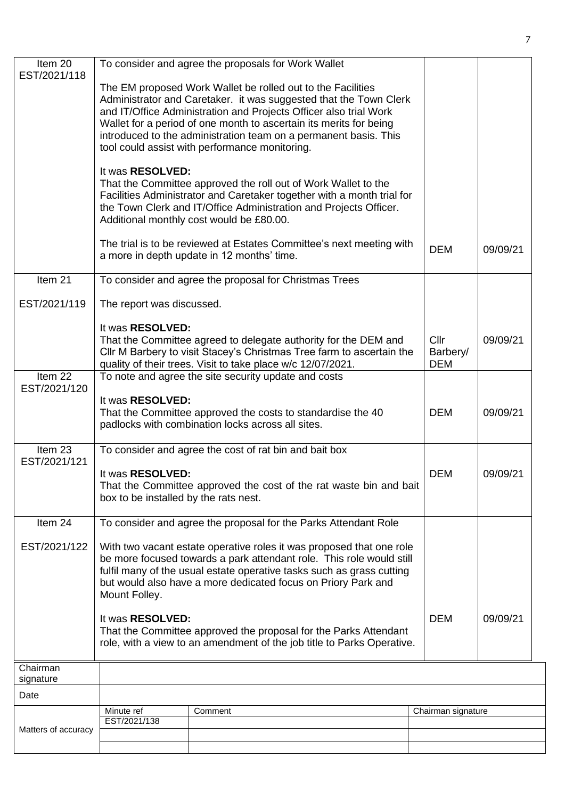| Item 20<br>EST/2021/118 |                                                                                                                                                                                                                                                                                                                                                                                                                                                                                            | To consider and agree the proposals for Work Wallet                                                                                                                                                                                                                                                                                                                                               |                    |          |  |
|-------------------------|--------------------------------------------------------------------------------------------------------------------------------------------------------------------------------------------------------------------------------------------------------------------------------------------------------------------------------------------------------------------------------------------------------------------------------------------------------------------------------------------|---------------------------------------------------------------------------------------------------------------------------------------------------------------------------------------------------------------------------------------------------------------------------------------------------------------------------------------------------------------------------------------------------|--------------------|----------|--|
|                         |                                                                                                                                                                                                                                                                                                                                                                                                                                                                                            | The EM proposed Work Wallet be rolled out to the Facilities<br>Administrator and Caretaker. it was suggested that the Town Clerk<br>and IT/Office Administration and Projects Officer also trial Work<br>Wallet for a period of one month to ascertain its merits for being<br>introduced to the administration team on a permanent basis. This<br>tool could assist with performance monitoring. |                    |          |  |
| Item 21<br>EST/2021/119 | It was RESOLVED:<br>That the Committee approved the roll out of Work Wallet to the<br>Facilities Administrator and Caretaker together with a month trial for<br>the Town Clerk and IT/Office Administration and Projects Officer.<br>Additional monthly cost would be £80.00.<br>The trial is to be reviewed at Estates Committee's next meeting with<br>a more in depth update in 12 months' time.<br>To consider and agree the proposal for Christmas Trees<br>The report was discussed. | <b>DEM</b>                                                                                                                                                                                                                                                                                                                                                                                        | 09/09/21           |          |  |
|                         | It was RESOLVED:<br>That the Committee agreed to delegate authority for the DEM and<br>Cllr M Barbery to visit Stacey's Christmas Tree farm to ascertain the<br>quality of their trees. Visit to take place w/c 12/07/2021.                                                                                                                                                                                                                                                                | Cllr<br>Barbery/<br><b>DEM</b>                                                                                                                                                                                                                                                                                                                                                                    | 09/09/21           |          |  |
| Item 22<br>EST/2021/120 |                                                                                                                                                                                                                                                                                                                                                                                                                                                                                            | To note and agree the site security update and costs                                                                                                                                                                                                                                                                                                                                              |                    |          |  |
|                         | It was RESOLVED:<br>That the Committee approved the costs to standardise the 40<br>padlocks with combination locks across all sites.                                                                                                                                                                                                                                                                                                                                                       | <b>DEM</b>                                                                                                                                                                                                                                                                                                                                                                                        | 09/09/21           |          |  |
| Item 23<br>EST/2021/121 | To consider and agree the cost of rat bin and bait box<br>It was RESOLVED:<br>That the Committee approved the cost of the rat waste bin and bait<br>box to be installed by the rats nest.                                                                                                                                                                                                                                                                                                  |                                                                                                                                                                                                                                                                                                                                                                                                   |                    | 09/09/21 |  |
| Item 24                 |                                                                                                                                                                                                                                                                                                                                                                                                                                                                                            | To consider and agree the proposal for the Parks Attendant Role                                                                                                                                                                                                                                                                                                                                   |                    |          |  |
| EST/2021/122            | With two vacant estate operative roles it was proposed that one role<br>be more focused towards a park attendant role. This role would still<br>fulfil many of the usual estate operative tasks such as grass cutting<br>but would also have a more dedicated focus on Priory Park and<br>Mount Folley.                                                                                                                                                                                    |                                                                                                                                                                                                                                                                                                                                                                                                   |                    |          |  |
|                         | It was RESOLVED:<br>That the Committee approved the proposal for the Parks Attendant<br>role, with a view to an amendment of the job title to Parks Operative.                                                                                                                                                                                                                                                                                                                             |                                                                                                                                                                                                                                                                                                                                                                                                   |                    | 09/09/21 |  |
| Chairman<br>signature   |                                                                                                                                                                                                                                                                                                                                                                                                                                                                                            |                                                                                                                                                                                                                                                                                                                                                                                                   |                    |          |  |
| Date                    |                                                                                                                                                                                                                                                                                                                                                                                                                                                                                            |                                                                                                                                                                                                                                                                                                                                                                                                   |                    |          |  |
|                         | Minute ref<br>EST/2021/138                                                                                                                                                                                                                                                                                                                                                                                                                                                                 | Comment                                                                                                                                                                                                                                                                                                                                                                                           | Chairman signature |          |  |
| Matters of accuracy     |                                                                                                                                                                                                                                                                                                                                                                                                                                                                                            |                                                                                                                                                                                                                                                                                                                                                                                                   |                    |          |  |
|                         |                                                                                                                                                                                                                                                                                                                                                                                                                                                                                            |                                                                                                                                                                                                                                                                                                                                                                                                   |                    |          |  |

7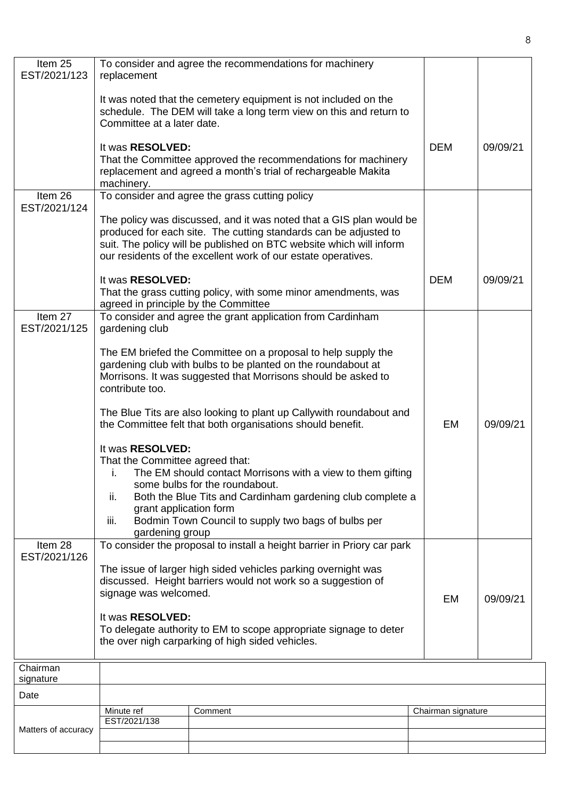| Item 25<br>EST/2021/123 | replacement                                                                                                                                                                                                                       | To consider and agree the recommendations for machinery                                                                                                                                                                                                                         |                    |          |
|-------------------------|-----------------------------------------------------------------------------------------------------------------------------------------------------------------------------------------------------------------------------------|---------------------------------------------------------------------------------------------------------------------------------------------------------------------------------------------------------------------------------------------------------------------------------|--------------------|----------|
|                         | Committee at a later date.                                                                                                                                                                                                        | It was noted that the cemetery equipment is not included on the<br>schedule. The DEM will take a long term view on this and return to                                                                                                                                           |                    |          |
|                         | It was RESOLVED:<br>machinery.                                                                                                                                                                                                    | That the Committee approved the recommendations for machinery<br>replacement and agreed a month's trial of rechargeable Makita                                                                                                                                                  | <b>DEM</b>         | 09/09/21 |
| Item 26<br>EST/2021/124 |                                                                                                                                                                                                                                   | To consider and agree the grass cutting policy                                                                                                                                                                                                                                  |                    |          |
|                         |                                                                                                                                                                                                                                   | The policy was discussed, and it was noted that a GIS plan would be<br>produced for each site. The cutting standards can be adjusted to<br>suit. The policy will be published on BTC website which will inform<br>our residents of the excellent work of our estate operatives. |                    |          |
|                         | It was RESOLVED:<br>agreed in principle by the Committee                                                                                                                                                                          | That the grass cutting policy, with some minor amendments, was                                                                                                                                                                                                                  | <b>DEM</b>         | 09/09/21 |
| Item 27<br>EST/2021/125 | gardening club                                                                                                                                                                                                                    | To consider and agree the grant application from Cardinham                                                                                                                                                                                                                      |                    |          |
|                         | contribute too.                                                                                                                                                                                                                   | The EM briefed the Committee on a proposal to help supply the<br>gardening club with bulbs to be planted on the roundabout at<br>Morrisons. It was suggested that Morrisons should be asked to                                                                                  |                    |          |
|                         |                                                                                                                                                                                                                                   | The Blue Tits are also looking to plant up Callywith roundabout and<br>the Committee felt that both organisations should benefit.                                                                                                                                               | EM                 | 09/09/21 |
|                         | It was RESOLVED:<br>That the Committee agreed that:<br>i.<br>ii.<br>grant application form<br>iii.<br>gardening group                                                                                                             | The EM should contact Morrisons with a view to them gifting<br>some bulbs for the roundabout.<br>Both the Blue Tits and Cardinham gardening club complete a<br>Bodmin Town Council to supply two bags of bulbs per                                                              |                    |          |
| Item 28<br>EST/2021/126 | To consider the proposal to install a height barrier in Priory car park<br>The issue of larger high sided vehicles parking overnight was<br>discussed. Height barriers would not work so a suggestion of<br>signage was welcomed. |                                                                                                                                                                                                                                                                                 | EM                 | 09/09/21 |
|                         | It was RESOLVED:<br>To delegate authority to EM to scope appropriate signage to deter<br>the over nigh carparking of high sided vehicles.                                                                                         |                                                                                                                                                                                                                                                                                 |                    |          |
| Chairman<br>signature   |                                                                                                                                                                                                                                   |                                                                                                                                                                                                                                                                                 |                    |          |
| Date                    |                                                                                                                                                                                                                                   |                                                                                                                                                                                                                                                                                 |                    |          |
|                         | Minute ref<br>EST/2021/138                                                                                                                                                                                                        | Comment                                                                                                                                                                                                                                                                         | Chairman signature |          |
| Matters of accuracy     |                                                                                                                                                                                                                                   |                                                                                                                                                                                                                                                                                 |                    |          |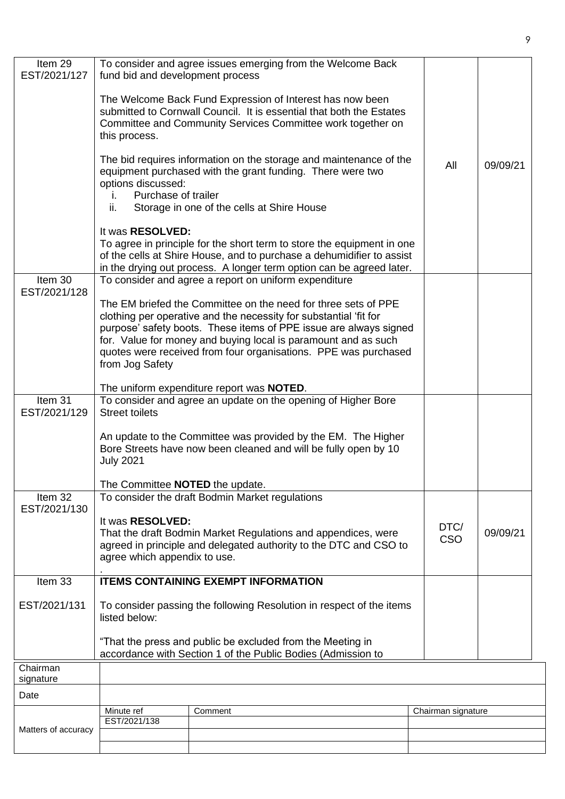| Item 29<br>EST/2021/127 | fund bid and development process                                                                                           | To consider and agree issues emerging from the Welcome Back                                                                                                                                                                                                                                                                                   |                    |          |
|-------------------------|----------------------------------------------------------------------------------------------------------------------------|-----------------------------------------------------------------------------------------------------------------------------------------------------------------------------------------------------------------------------------------------------------------------------------------------------------------------------------------------|--------------------|----------|
|                         | this process.                                                                                                              | The Welcome Back Fund Expression of Interest has now been<br>submitted to Cornwall Council. It is essential that both the Estates<br>Committee and Community Services Committee work together on                                                                                                                                              |                    |          |
|                         | options discussed:                                                                                                         | The bid requires information on the storage and maintenance of the<br>equipment purchased with the grant funding. There were two                                                                                                                                                                                                              | All                | 09/09/21 |
|                         | Purchase of trailer<br>İ.<br>ii.                                                                                           | Storage in one of the cells at Shire House                                                                                                                                                                                                                                                                                                    |                    |          |
|                         | It was <b>RESOLVED:</b>                                                                                                    |                                                                                                                                                                                                                                                                                                                                               |                    |          |
|                         |                                                                                                                            | To agree in principle for the short term to store the equipment in one<br>of the cells at Shire House, and to purchase a dehumidifier to assist<br>in the drying out process. A longer term option can be agreed later.                                                                                                                       |                    |          |
| Item 30<br>EST/2021/128 |                                                                                                                            | To consider and agree a report on uniform expenditure                                                                                                                                                                                                                                                                                         |                    |          |
|                         |                                                                                                                            | The EM briefed the Committee on the need for three sets of PPE<br>clothing per operative and the necessity for substantial 'fit for<br>purpose' safety boots. These items of PPE issue are always signed<br>for. Value for money and buying local is paramount and as such<br>quotes were received from four organisations. PPE was purchased |                    |          |
|                         | from Jog Safety                                                                                                            |                                                                                                                                                                                                                                                                                                                                               |                    |          |
|                         |                                                                                                                            | The uniform expenditure report was <b>NOTED</b> .                                                                                                                                                                                                                                                                                             |                    |          |
| Item 31<br>EST/2021/129 | <b>Street toilets</b>                                                                                                      | To consider and agree an update on the opening of Higher Bore                                                                                                                                                                                                                                                                                 |                    |          |
|                         | <b>July 2021</b>                                                                                                           | An update to the Committee was provided by the EM. The Higher<br>Bore Streets have now been cleaned and will be fully open by 10                                                                                                                                                                                                              |                    |          |
|                         | The Committee NOTED the update.                                                                                            |                                                                                                                                                                                                                                                                                                                                               |                    |          |
| Item 32<br>EST/2021/130 |                                                                                                                            | To consider the draft Bodmin Market regulations                                                                                                                                                                                                                                                                                               |                    |          |
|                         | It was RESOLVED:<br>agree which appendix to use.                                                                           | That the draft Bodmin Market Regulations and appendices, were<br>agreed in principle and delegated authority to the DTC and CSO to                                                                                                                                                                                                            | DTC/<br><b>CSO</b> | 09/09/21 |
| Item 33                 |                                                                                                                            | <b>ITEMS CONTAINING EXEMPT INFORMATION</b>                                                                                                                                                                                                                                                                                                    |                    |          |
| EST/2021/131            | listed below:                                                                                                              | To consider passing the following Resolution in respect of the items                                                                                                                                                                                                                                                                          |                    |          |
|                         | "That the press and public be excluded from the Meeting in<br>accordance with Section 1 of the Public Bodies (Admission to |                                                                                                                                                                                                                                                                                                                                               |                    |          |
| Chairman                |                                                                                                                            |                                                                                                                                                                                                                                                                                                                                               |                    |          |
| signature               |                                                                                                                            |                                                                                                                                                                                                                                                                                                                                               |                    |          |
| Date                    |                                                                                                                            |                                                                                                                                                                                                                                                                                                                                               |                    |          |
|                         | Minute ref<br>EST/2021/138                                                                                                 | Comment                                                                                                                                                                                                                                                                                                                                       | Chairman signature |          |
| Matters of accuracy     |                                                                                                                            |                                                                                                                                                                                                                                                                                                                                               |                    |          |
|                         |                                                                                                                            |                                                                                                                                                                                                                                                                                                                                               |                    |          |